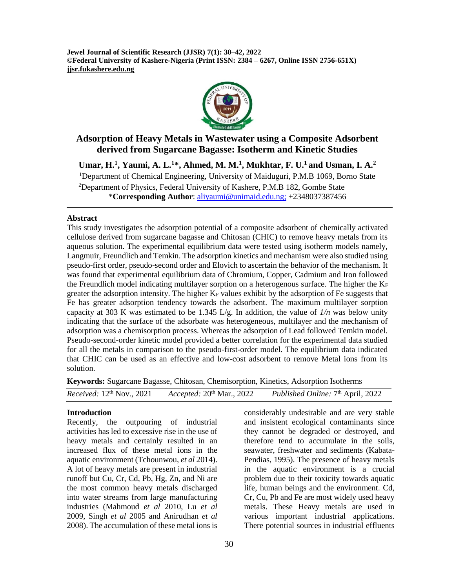**Jewel Journal of Scientific Research (JJSR) 7(1): 30–42, 2022 ©Federal University of Kashere-Nigeria (Print ISSN: 2384 – 6267, Online ISSN 2756-651X) jjsr.fukashere.edu.ng**



# **Adsorption of Heavy Metals in Wastewater using a Composite Adsorbent derived from Sugarcane Bagasse: Isotherm and Kinetic Studies**

**Umar, H.<sup>1</sup> , Yaumi, A. L.<sup>1</sup>\*, Ahmed, M. M.<sup>1</sup> , Mukhtar, F. U.<sup>1</sup> and Usman, I. A.<sup>2</sup>** <sup>1</sup>Department of Chemical Engineering, University of Maiduguri, P.M.B 1069, Borno State <sup>2</sup>Department of Physics, Federal University of Kashere, P.M.B 182, Gombe State \***Corresponding Author**: [aliyaumi@unimaid.edu.ng;](mailto:aliyaumi@unimaid.edu.ng) +2348037387456

### **Abstract**

This study investigates the adsorption potential of a composite adsorbent of chemically activated cellulose derived from sugarcane bagasse and Chitosan (CHIC) to remove heavy metals from its aqueous solution. The experimental equilibrium data were tested using isotherm models namely, Langmuir, Freundlich and Temkin. The adsorption kinetics and mechanism were also studied using pseudo-first order, pseudo-second order and Elovich to ascertain the behavior of the mechanism. It was found that experimental equilibrium data of Chromium, Copper, Cadmium and Iron followed the Freundlich model indicating multilayer sorption on a heterogenous surface. The higher the  $K_F$ greater the adsorption intensity. The higher  $K_F$  values exhibit by the adsorption of Fe suggests that Fe has greater adsorption tendency towards the adsorbent. The maximum multilayer sorption capacity at 303 K was estimated to be 1.345 L/g. In addition, the value of *1/n* was below unity indicating that the surface of the adsorbate was heterogeneous, multilayer and the mechanism of adsorption was a chemisorption process. Whereas the adsorption of Lead followed Temkin model. Pseudo-second-order kinetic model provided a better correlation for the experimental data studied for all the metals in comparison to the pseudo-first-order model. The equilibrium data indicated that CHIC can be used as an effective and low-cost adsorbent to remove Metal ions from its solution.

**Keywords:** Sugarcane Bagasse, Chitosan, Chemisorption, Kinetics, Adsorption Isotherms

| <i>Received:</i> $12^{th}$ Nov., $2021$<br>Accepted: $20th$ Mar., 2022 | <i>Published Online:</i> 7 <sup>th</sup> April, 2022 |
|------------------------------------------------------------------------|------------------------------------------------------|
|------------------------------------------------------------------------|------------------------------------------------------|

### **Introduction**

Recently, the outpouring of industrial activities has led to excessive rise in the use of heavy metals and certainly resulted in an increased flux of these metal ions in the aquatic environment [\(Tchounwou,](https://www.ncbi.nlm.nih.gov/pubmed/?term=Tchounwou%20PB%5BAuthor%5D&cauthor=true&cauthor_uid=22945569) *et al* 2014). A lot of heavy metals are present in industrial runoff but Cu, Cr, Cd, Pb, Hg, Zn, and Ni are the most common heavy metals discharged into water streams from large manufacturing industries (Mahmoud *et al* 2010, Lu *et al*  2009, Singh *et al* 2005 and Anirudhan *et al* 2008). The accumulation of these metal ions is

considerably undesirable and are very stable and insistent ecological contaminants since they cannot be degraded or destroyed, and therefore tend to accumulate in the soils, seawater, freshwater and sediments (Kabata-Pendias, 1995). The presence of heavy metals in the aquatic environment is a crucial problem due to their toxicity towards aquatic life, human beings and the environment. Cd, Cr, Cu, Pb and Fe are most widely used heavy metals. These Heavy metals are used in various important industrial applications. There potential sources in industrial effluents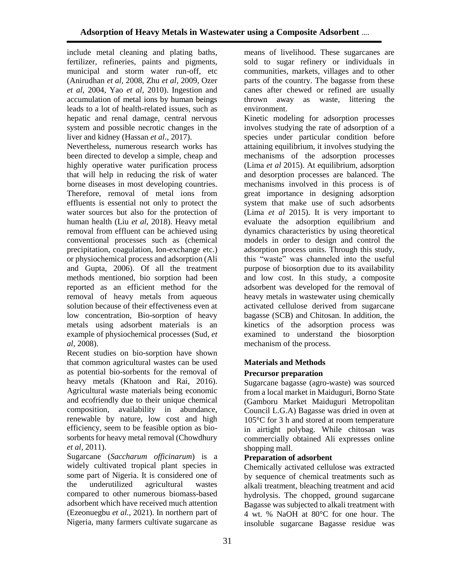include metal cleaning and plating baths, fertilizer, refineries, paints and pigments, municipal and storm water run-off, etc (Anirudhan *et al,* 2008, Zhu *et al,* 2009, Ozer *et al*, 2004, Yao *et al,* 2010). Ingestion and accumulation of metal ions by human beings leads to a lot of health-related issues, such as hepatic and renal damage, central nervous system and possible necrotic changes in the liver and kidney (Hassan *et al*., 2017).

Nevertheless, numerous research works has been directed to develop a simple, cheap and highly operative water purification process that will help in reducing the risk of water borne diseases in most developing countries. Therefore, removal of metal ions from effluents is essential not only to protect the water sources but also for the protection of human health (Liu *et al*, 2018). Heavy metal removal from effluent can be achieved using conventional processes such as (chemical precipitation, coagulation, Ion-exchange etc.) or physiochemical process and adsorption (Ali and Gupta, 2006). Of all the treatment methods mentioned, bio sorption had been reported as an efficient method for the removal of heavy metals from aqueous solution because of their effectiveness even at low concentration, Bio-sorption of heavy metals using adsorbent materials is an example of physiochemical processes (Sud, *et al*, 2008).

Recent studies on bio-sorption have shown that common agricultural wastes can be used as potential bio-sorbents for the removal of heavy metals (Khatoon and Rai, 2016). Agricultural waste materials being economic and ecofriendly due to their unique chemical composition, availability in abundance, renewable by nature, low cost and high efficiency, seem to be feasible option as biosorbents for heavy metal removal (Chowdhury *et al,* 2011).

Sugarcane (*Saccharum officinarum*) is a widely cultivated tropical plant species in some part of Nigeria. It is considered one of the underutilized agricultural wastes compared to other numerous biomass-based adsorbent which have received much attention (Ezeonuegbu *et al.,* 2021). In northern part of Nigeria, many farmers cultivate sugarcane as

means of livelihood. These sugarcanes are sold to sugar refinery or individuals in communities, markets, villages and to other parts of the country. The bagasse from these canes after chewed or refined are usually thrown away as waste, littering the environment.

Kinetic modeling for adsorption processes involves studying the rate of adsorption of a species under particular condition before attaining equilibrium, it involves studying the mechanisms of the adsorption processes (Lima *et al* 2015). At equilibrium, adsorption and desorption processes are balanced. The mechanisms involved in this process is of great importance in designing adsorption system that make use of such adsorbents (Lima *et al* 2015). It is very important to evaluate the adsorption equilibrium and dynamics characteristics by using theoretical models in order to design and control the adsorption process units. Through this study, this "waste" was channeled into the useful purpose of biosorption due to its availability and low cost. In this study, a composite adsorbent was developed for the removal of heavy metals in wastewater using chemically activated cellulose derived from sugarcane bagasse (SCB) and Chitosan. In addition, the kinetics of the adsorption process was examined to understand the biosorption mechanism of the process.

# **Materials and Methods**

## **Precursor preparation**

Sugarcane bagasse (agro-waste) was sourced from a local market in Maiduguri, Borno State (Gamboru Market Maiduguri Metropolitan Council L.G.A) Bagasse was dried in oven at 105°C for 3 h and stored at room temperature in airtight polybag. While chitosan was commercially obtained Ali expresses online shopping mall.

## **Preparation of adsorbent**

Chemically activated cellulose was extracted by sequence of chemical treatments such as alkali treatment, bleaching treatment and acid hydrolysis. The chopped, ground sugarcane Bagasse was subjected to alkali treatment with 4 wt. % NaOH at 80°C for one hour. The insoluble sugarcane Bagasse residue was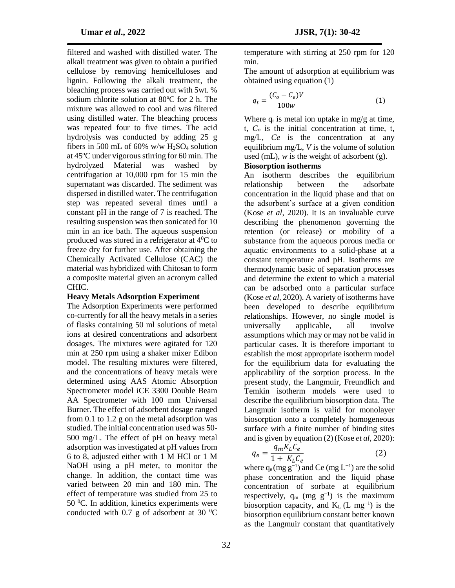filtered and washed with distilled water. The alkali treatment was given to obtain a purified cellulose by removing hemicelluloses and lignin. Following the alkali treatment, the bleaching process was carried out with 5wt. % sodium chlorite solution at 80ºC for 2 h. The mixture was allowed to cool and was filtered using distilled water. The bleaching process was repeated four to five times. The acid hydrolysis was conducted by adding 25 g fibers in 500 mL of 60% w/w  $H<sub>2</sub>SO<sub>4</sub>$  solution at 45ºC under vigorous stirring for 60 min. The hydrolyzed Material was washed by centrifugation at 10,000 rpm for 15 min the supernatant was discarded. The sediment was dispersed in distilled water. The centrifugation step was repeated several times until a constant pH in the range of 7 is reached. The resulting suspension was then sonicated for 10 min in an ice bath. The aqueous suspension produced was stored in a refrigerator at  $4^{\circ}$ C to freeze dry for further use. After obtaining the Chemically Activated Cellulose (CAC) the material was hybridized with Chitosan to form a composite material given an acronym called CHIC.

### **Heavy Metals Adsorption Experiment**

The Adsorption Experiments were performed co-currently for all the heavy metals in a series of flasks containing 50 ml solutions of metal ions at desired concentrations and adsorbent dosages. The mixtures were agitated for 120 min at 250 rpm using a shaker mixer Edibon model. The resulting mixtures were filtered, and the concentrations of heavy metals were determined using AAS Atomic Absorption Spectrometer model iCE 3300 Double Beam AA Spectrometer with 100 mm Universal Burner. The effect of adsorbent dosage ranged from 0.1 to 1.2 g on the metal adsorption was studied. The initial concentration used was 50- 500 mg/L. The effect of pH on heavy metal adsorption was investigated at pH values from 6 to 8, adjusted either with 1 M HCl or 1 M NaOH using a pH meter, to monitor the change. In addition, the contact time was varied between 20 min and 180 min. The effect of temperature was studied from 25 to  $50<sup>0</sup>C$ . In addition, kinetics experiments were conducted with 0.7 g of adsorbent at 30  $^{\circ}$ C temperature with stirring at 250 rpm for 120 min.

The amount of adsorption at equilibrium was obtained using equation (1)

$$
q_t = \frac{(C_o - C_e)V}{100w} \tag{1}
$$

Where  $q_t$  is metal ion uptake in mg/g at time, t,  $C<sub>o</sub>$  is the initial concentration at time, t, mg/L, *Ce* is the concentration at any equilibrium mg/L, *V* is the volume of solution used (mL),  $w$  is the weight of adsorbent  $(g)$ .

### **Biosorption isotherms**

An isotherm describes the equilibrium relationship between the adsorbate concentration in the liquid phase and that on the adsorbent's surface at a given condition (Kose *et al*, 2020). It is an invaluable curve describing the phenomenon governing the retention (or release) or mobility of a substance from the aqueous porous media or aquatic environments to a solid-phase at a constant temperature and pH. Isotherms are thermodynamic basic of separation processes and determine the extent to which a material can be adsorbed onto a particular surface (Kose *et al*, 2020). A variety of isotherms have been developed to describe equilibrium relationships. However, no single model is universally applicable, all involve assumptions which may or may not be valid in particular cases. It is therefore important to establish the most appropriate isotherm model for the equilibrium data for evaluating the applicability of the sorption process. In the present study, the Langmuir, Freundlich and Temkin isotherm models were used to describe the equilibrium biosorption data. The Langmuir isotherm is valid for monolayer biosorption onto a completely homogeneous surface with a finite number of binding sites and is given by equation (2) (Kose *et al*, 2020):

$$
q_e = \frac{q_m K_L C_e}{1 + K_L C_e} \tag{2}
$$

where  $q_e$  (mg g<sup>-1</sup>) and Ce (mg L<sup>-1</sup>) are the solid phase concentration and the liquid phase concentration of sorbate at equilibrium respectively,  $q_m$  (mg  $g^{-1}$ ) is the maximum biosorption capacity, and  $K<sub>L</sub>$  (L mg<sup>-1</sup>) is the biosorption equilibrium constant better known as the Langmuir constant that quantitatively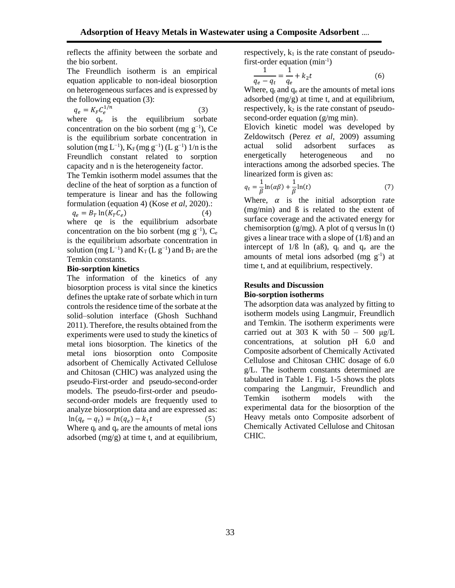reflects the affinity between the sorbate and the bio sorbent.

The Freundlich isotherm is an empirical equation applicable to non-ideal biosorption on heterogeneous surfaces and is expressed by the following equation (3):

$$
q_e = K_F C_e^{1/n} \tag{3}
$$

where  $q_e$  is the equilibrium sorbate concentration on the bio sorbent (mg  $g^{-1}$ ), Ce is the equilibrium sorbate concentration in solution (mg L<sup>-1</sup>), K<sub>F</sub> (mg g<sup>-1</sup>) (L g<sup>-1</sup>) 1/n is the Freundlich constant related to sorption capacity and n is the heterogeneity factor.

The Temkin isotherm model assumes that the decline of the heat of sorption as a function of temperature is linear and has the following formulation (equation 4) (Kose *et al*, 2020).:

 $q_e = B_T \ln(K_T C_e)$ ) (4) where qe is the equilibrium adsorbate concentration on the bio sorbent (mg  $g^{-1}$ ),  $C_e$ is the equilibrium adsorbate concentration in solution (mg  $L^{-1}$ ) and  $K_T$  ( $L g^{-1}$ ) and  $B_T$  are the Temkin constants.

### **Bio-sorption kinetics**

The information of the kinetics of any biosorption process is vital since the kinetics defines the uptake rate of sorbate which in turn controls the residence time of the sorbate at the solid–solution interface (Ghosh Suchhand 2011). Therefore, the results obtained from the experiments were used to study the kinetics of metal ions biosorption. The kinetics of the metal ions biosorption onto Composite adsorbent of Chemically Activated Cellulose and Chitosan (CHIC) was analyzed using the pseudo-First-order and pseudo-second-order models. The pseudo-first-order and pseudosecond-order models are frequently used to analyze biosorption data and are expressed as:  $\ln(q_e - q_t) = \ln(q_e) - k_1$  (5) Where  $q_t$  and  $q_e$  are the amounts of metal ions adsorbed (mg/g) at time t, and at equilibrium,

respectively,  $k_1$  is the rate constant of pseudofirst-order equation  $(min^{-1})$ 

$$
\frac{1}{q_e - q_t} = \frac{1}{q_e} + k_2 t \tag{6}
$$

Where,  $q_t$  and  $q_e$  are the amounts of metal ions adsorbed  $(mg/g)$  at time t, and at equilibrium, respectively,  $k_2$  is the rate constant of pseudosecond-order equation (g/mg min).

Elovich kinetic model was developed by Zeldowitsch (Perez *et al*, 2009) assuming actual solid adsorbent surfaces as energetically heterogeneous and no interactions among the adsorbed species. The linearized form is given as:

$$
q_t = \frac{1}{\beta} \ln(\alpha \beta) + \frac{1}{\beta} \ln(t) \tag{7}
$$

Where,  $\alpha$  is the initial adsorption rate (mg/min) and ß is related to the extent of surface coverage and the activated energy for chemisorption (g/mg). A plot of q versus ln (t) gives a linear trace with a slope of (1/ß) and an intercept of  $1/B \ln(aB)$ ,  $q_t$  and  $q_e$  are the amounts of metal ions adsorbed (mg  $g^{-1}$ ) at time t, and at equilibrium, respectively.

### **Results and Discussion Bio-sorption isotherms**

The adsorption data was analyzed by fitting to isotherm models using Langmuir, Freundlich and Temkin. The isotherm experiments were carried out at 303 K with  $50 - 500 \mu g/L$ concentrations, at solution pH 6.0 and Composite adsorbent of Chemically Activated Cellulose and Chitosan CHIC dosage of 6.0 g/L. The isotherm constants determined are tabulated in Table 1. Fig. 1-5 shows the plots comparing the Langmuir, Freundlich and Temkin isotherm models with the experimental data for the biosorption of the Heavy metals onto Composite adsorbent of Chemically Activated Cellulose and Chitosan CHIC.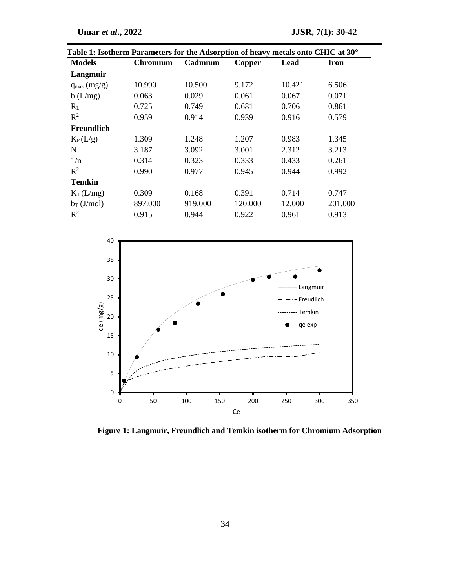| Table 1: Isotherm Parameters for the Adsorption of heavy metals onto CHIC at 30° |                 |         |         |        |         |  |  |  |
|----------------------------------------------------------------------------------|-----------------|---------|---------|--------|---------|--|--|--|
| <b>Models</b>                                                                    | <b>Chromium</b> | Cadmium | Copper  | Lead   | Iron    |  |  |  |
| Langmuir                                                                         |                 |         |         |        |         |  |  |  |
| $q_{max}(mg/g)$                                                                  | 10.990          | 10.500  | 9.172   | 10.421 | 6.506   |  |  |  |
| b(L/mg)                                                                          | 0.063           | 0.029   | 0.061   | 0.067  | 0.071   |  |  |  |
| $R_L$                                                                            | 0.725           | 0.749   | 0.681   | 0.706  | 0.861   |  |  |  |
| $R^2$                                                                            | 0.959           | 0.914   | 0.939   | 0.916  | 0.579   |  |  |  |
| Freundlich                                                                       |                 |         |         |        |         |  |  |  |
| $K_F(L/g)$                                                                       | 1.309           | 1.248   | 1.207   | 0.983  | 1.345   |  |  |  |
| N                                                                                | 3.187           | 3.092   | 3.001   | 2.312  | 3.213   |  |  |  |
| 1/n                                                                              | 0.314           | 0.323   | 0.333   | 0.433  | 0.261   |  |  |  |
| $\mathbb{R}^2$                                                                   | 0.990           | 0.977   | 0.945   | 0.944  | 0.992   |  |  |  |
| <b>Temkin</b>                                                                    |                 |         |         |        |         |  |  |  |
| $K_T(L/mg)$                                                                      | 0.309           | 0.168   | 0.391   | 0.714  | 0.747   |  |  |  |
| $b_T$ (J/mol)                                                                    | 897.000         | 919.000 | 120.000 | 12.000 | 201.000 |  |  |  |
| $R^2$                                                                            | 0.915           | 0.944   | 0.922   | 0.961  | 0.913   |  |  |  |



 **Figure 1: Langmuir, Freundlich and Temkin isotherm for Chromium Adsorption**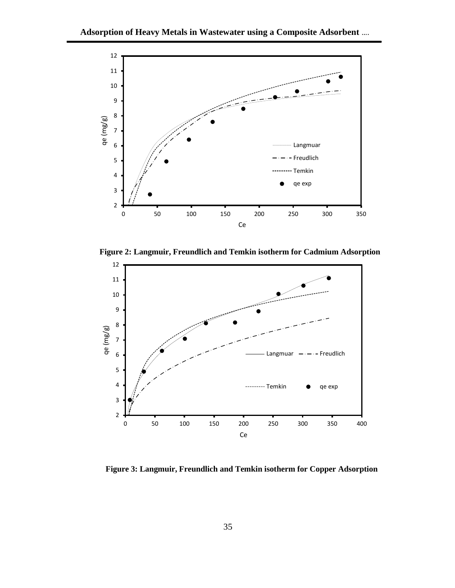

 **Figure 2: Langmuir, Freundlich and Temkin isotherm for Cadmium Adsorption**



 **Figure 3: Langmuir, Freundlich and Temkin isotherm for Copper Adsorption**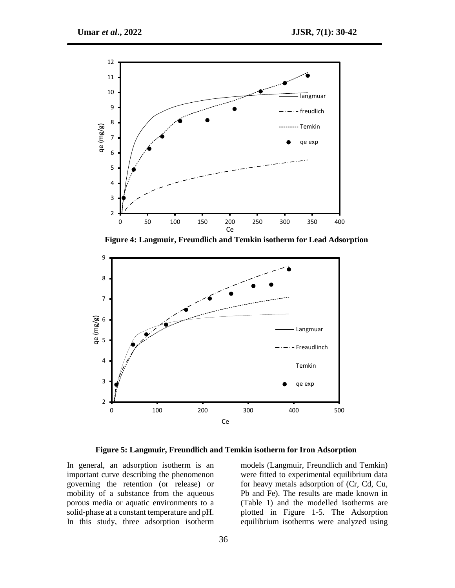

 **Figure 4: Langmuir, Freundlich and Temkin isotherm for Lead Adsorption**



 **Figure 5: Langmuir, Freundlich and Temkin isotherm for Iron Adsorption**

In general, an adsorption isotherm is an important curve describing the phenomenon governing the retention (or release) or mobility of a substance from the aqueous porous media or aquatic environments to a solid-phase at a constant temperature and pH. In this study, three adsorption isotherm

models (Langmuir, Freundlich and Temkin) were fitted to experimental equilibrium data for heavy metals adsorption of (Cr, Cd, Cu, Pb and Fe). The results are made known in (Table 1) and the modelled isotherms are plotted in Figure 1-5. The Adsorption equilibrium isotherms were analyzed using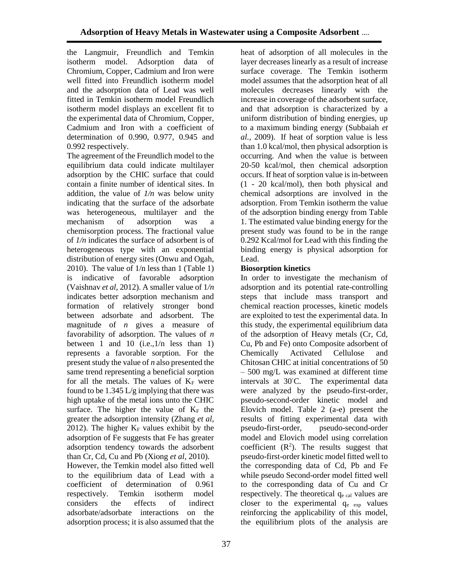the Langmuir, Freundlich and Temkin isotherm model. Adsorption data of Chromium, Copper, Cadmium and Iron were well fitted into Freundlich isotherm model and the adsorption data of Lead was well fitted in Temkin isotherm model Freundlich isotherm model displays an excellent fit to the experimental data of Chromium, Copper, Cadmium and Iron with a coefficient of determination of 0.990, 0.977, 0.945 and 0.992 respectively.

The agreement of the Freundlich model to the equilibrium data could indicate multilayer adsorption by the CHIC surface that could contain a finite number of identical sites. In addition, the value of *1/n* was below unity indicating that the surface of the adsorbate was heterogeneous, multilayer and the mechanism of adsorption was a chemisorption process. The fractional value of *1/n* indicates the surface of adsorbent is of heterogeneous type with an exponential distribution of energy sites (Onwu and Ogah, 2010). The value of 1/n less than 1 (Table 1) is indicative of favorable adsorption (Vaishnav *et al*, 2012). A smaller value of 1*/n*  indicates better adsorption mechanism and formation of relatively stronger bond between adsorbate and adsorbent. The magnitude of *n* gives a measure of favorability of adsorption. The values of *n* between 1 and 10 (i.e., $1/n$  less than 1) represents a favorable sorption. For the present study the value of *n* also presented the same trend representing a beneficial sorption for all the metals. The values of  $K_F$  were found to be 1.345 L/g implying that there was high uptake of the metal ions unto the CHIC surface. The higher the value of  $K_F$  the greater the adsorption intensity (Zhang *et al*, 2012). The higher  $K_F$  values exhibit by the adsorption of Fe suggests that Fe has greater adsorption tendency towards the adsorbent than Cr, Cd, Cu and Pb (Xiong *et al*, 2010).

However, the Temkin model also fitted well to the equilibrium data of Lead with a coefficient of determination of 0.961 respectively. Temkin isotherm model considers the effects of indirect adsorbate/adsorbate interactions on the adsorption process; it is also assumed that the

heat of adsorption of all molecules in the layer decreases linearly as a result of increase surface coverage. The Temkin isotherm model assumes that the adsorption heat of all molecules decreases linearly with the increase in coverage of the adsorbent surface, and that adsorption is characterized by a uniform distribution of binding energies, up to a maximum binding energy (Subbaiah *et al.*, 2009). If heat of sorption value is less than 1.0 kcal/mol, then physical adsorption is occurring. And when the value is between 20-50 kcal/mol, then chemical adsorption occurs. If heat of sorption value is in-between (1 - 20 kcal/mol), then both physical and chemical adsorptions are involved in the adsorption. From Temkin isotherm the value of the adsorption binding energy from Table 1. The estimated value binding energy for the present study was found to be in the range 0.292 Kcal/mol for Lead with this finding the binding energy is physical adsorption for Lead.

## **Biosorption kinetics**

In order to investigate the mechanism of adsorption and its potential rate-controlling steps that include mass transport and chemical reaction processes, kinetic models are exploited to test the experimental data. In this study, the experimental equilibrium data of the adsorption of Heavy metals (Cr, Cd, Cu, Pb and Fe) onto Composite adsorbent of Chemically Activated Cellulose and Chitosan CHIC at initial concentrations of 50 – 500 mg/L was examined at different time intervals at 30◦C. The experimental data were analyzed by the pseudo-first-order, pseudo-second-order kinetic model and Elovich model. Table 2 (a-e) present the results of fitting experimental data with pseudo-first-order, pseudo-second-order model and Elovich model using correlation coefficient  $(R^2)$ . The results suggest that pseudo-first-order kinetic model fitted well to the corresponding data of Cd, Pb and Fe while pseudo Second-order model fitted well to the corresponding data of Cu and Cr respectively. The theoretical q<sub>e cal</sub> values are closer to the experimental  $q_{e}$   $_{exp}$  values reinforcing the applicability of this model, the equilibrium plots of the analysis are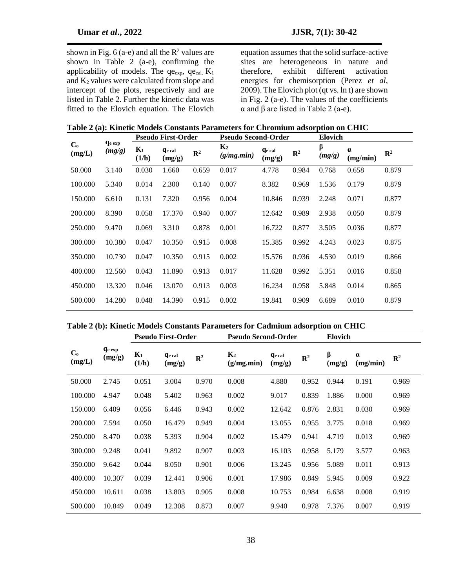shown in Fig. 6 (a-e) and all the  $R^2$  values are shown in Table 2 (a-e), confirming the applicability of models. The  $qe_{exp}$ ,  $qe_{cal}$ ,  $K_1$ and K<sup>2</sup> values were calculated from slope and intercept of the plots, respectively and are listed in Table 2. Further the kinetic data was fitted to the Elovich equation. The Elovich

equation assumes that the solid surface-active sites are heterogeneous in nature and therefore, exhibit different activation energies for chemisorption (Perez *et al*, 2009). The Elovich plot (qt vs. ln t) are shown in Fig. 2 (a-e). The values of the coefficients α and β are listed in Table 2 (a-e).

|        |                |                         |                |                           |                         |                | <b>Elovich</b>             |                      |                |  |
|--------|----------------|-------------------------|----------------|---------------------------|-------------------------|----------------|----------------------------|----------------------|----------------|--|
| (mg/g) | $K_1$<br>(1/h) | <b>Qe cal</b><br>(mg/g) | $\mathbb{R}^2$ | $K_2$<br>(g/mg,min)       | <b>Ge</b> cal<br>(mg/g) | $\mathbb{R}^2$ | β<br>(mg/g)                | $\alpha$<br>(mg/min) | $\mathbb{R}^2$ |  |
| 3.140  | 0.030          | 1.660                   | 0.659          | 0.017                     | 4.778                   | 0.984          | 0.768                      | 0.658                | 0.879          |  |
| 5.340  | 0.014          | 2.300                   | 0.140          | 0.007                     | 8.382                   | 0.969          | 1.536                      | 0.179                | 0.879          |  |
| 6.610  | 0.131          | 7.320                   | 0.956          | 0.004                     | 10.846                  | 0.939          | 2.248                      | 0.071                | 0.877          |  |
| 8.390  | 0.058          | 17.370                  | 0.940          | 0.007                     | 12.642                  | 0.989          | 2.938                      | 0.050                | 0.879          |  |
| 9.470  | 0.069          | 3.310                   | 0.878          | 0.001                     | 16.722                  | 0.877          | 3.505                      | 0.036                | 0.877          |  |
| 10.380 | 0.047          | 10.350                  | 0.915          | 0.008                     | 15.385                  | 0.992          | 4.243                      | 0.023                | 0.875          |  |
| 10.730 | 0.047          | 10.350                  | 0.915          | 0.002                     | 15.576                  | 0.936          | 4.530                      | 0.019                | 0.866          |  |
| 12.560 | 0.043          | 11.890                  | 0.913          | 0.017                     | 11.628                  | 0.992          | 5.351                      | 0.016                | 0.858          |  |
| 13.320 | 0.046          | 13.070                  | 0.913          | 0.003                     | 16.234                  | 0.958          | 5.848                      | 0.014                | 0.865          |  |
| 14.280 | 0.048          | 14.390                  | 0.915          | 0.002                     | 19.841                  | 0.909          | 6.689                      | 0.010                | 0.879          |  |
|        | <b>Ge</b> exp  |                         |                | <b>Pseudo First-Order</b> |                         |                | <b>Pseudo Second-Order</b> |                      |                |  |

### **Table 2 (b): Kinetic Models Constants Parameters for Cadmium adsorption on CHIC**

|                          |                         | <b>Pseudo First-Order</b> |                         | <b>Pseudo Second-Order</b> |                              |                         | Elovich        |             |                      |                |
|--------------------------|-------------------------|---------------------------|-------------------------|----------------------------|------------------------------|-------------------------|----------------|-------------|----------------------|----------------|
| $\mathbf{C}_0$<br>(mg/L) | <b>Ge</b> exp<br>(mg/g) | $K_1$<br>(1/h)            | <b>Qe cal</b><br>(mg/g) | $\mathbb{R}^2$             | K <sub>2</sub><br>(g/mg.min) | <b>Qe cal</b><br>(mg/g) | $\mathbb{R}^2$ | β<br>(mg/g) | $\alpha$<br>(mg/min) | $\mathbb{R}^2$ |
| 50.000                   | 2.745                   | 0.051                     | 3.004                   | 0.970                      | 0.008                        | 4.880                   | 0.952          | 0.944       | 0.191                | 0.969          |
| 100.000                  | 4.947                   | 0.048                     | 5.402                   | 0.963                      | 0.002                        | 9.017                   | 0.839          | 1.886       | 0.000                | 0.969          |
| 150.000                  | 6.409                   | 0.056                     | 6.446                   | 0.943                      | 0.002                        | 12.642                  | 0.876          | 2.831       | 0.030                | 0.969          |
| 200.000                  | 7.594                   | 0.050                     | 16.479                  | 0.949                      | 0.004                        | 13.055                  | 0.955          | 3.775       | 0.018                | 0.969          |
| 250.000                  | 8.470                   | 0.038                     | 5.393                   | 0.904                      | 0.002                        | 15.479                  | 0.941          | 4.719       | 0.013                | 0.969          |
| 300.000                  | 9.248                   | 0.041                     | 9.892                   | 0.907                      | 0.003                        | 16.103                  | 0.958          | 5.179       | 3.577                | 0.963          |
| 350.000                  | 9.642                   | 0.044                     | 8.050                   | 0.901                      | 0.006                        | 13.245                  | 0.956          | 5.089       | 0.011                | 0.913          |
| 400.000                  | 10.307                  | 0.039                     | 12.441                  | 0.906                      | 0.001                        | 17.986                  | 0.849          | 5.945       | 0.009                | 0.922          |
| 450.000                  | 10.611                  | 0.038                     | 13.803                  | 0.905                      | 0.008                        | 10.753                  | 0.984          | 6.638       | 0.008                | 0.919          |
| 500.000                  | 10.849                  | 0.049                     | 12.308                  | 0.873                      | 0.007                        | 9.940                   | 0.978          | 7.376       | 0.007                | 0.919          |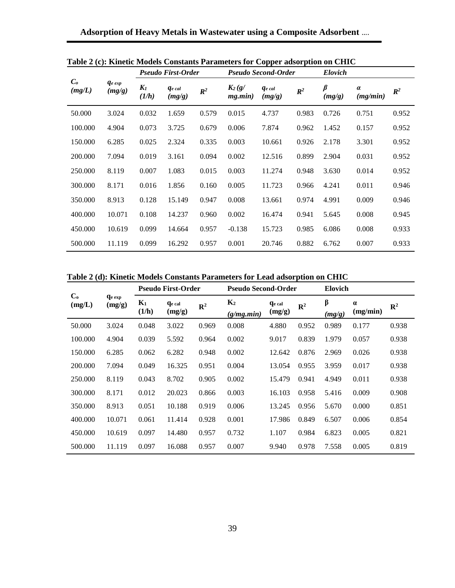|                           |                       | <b>Pseudo First-Order</b> |                                |                | <b>Pseudo Second-Order</b> |                       |                | <b>Elovich</b>    |                      |                |
|---------------------------|-----------------------|---------------------------|--------------------------------|----------------|----------------------------|-----------------------|----------------|-------------------|----------------------|----------------|
| $\mathcal{C}_o$<br>(mg/L) | $q_{e\exp}$<br>(mg/g) | $K_I$<br>(1/h)            | <i><b>Ge</b></i> cal<br>(mg/g) | $\mathbb{R}^2$ | $K_2(g)$<br>mg.min)        | $q_{e}$ cal<br>(mg/g) | $\mathbb{R}^2$ | $\beta$<br>(mg/g) | $\alpha$<br>(mg/min) | $\mathbb{R}^2$ |
| 50.000                    | 3.024                 | 0.032                     | 1.659                          | 0.579          | 0.015                      | 4.737                 | 0.983          | 0.726             | 0.751                | 0.952          |
| 100.000                   | 4.904                 | 0.073                     | 3.725                          | 0.679          | 0.006                      | 7.874                 | 0.962          | 1.452             | 0.157                | 0.952          |
| 150.000                   | 6.285                 | 0.025                     | 2.324                          | 0.335          | 0.003                      | 10.661                | 0.926          | 2.178             | 3.301                | 0.952          |
| 200.000                   | 7.094                 | 0.019                     | 3.161                          | 0.094          | 0.002                      | 12.516                | 0.899          | 2.904             | 0.031                | 0.952          |
| 250.000                   | 8.119                 | 0.007                     | 1.083                          | 0.015          | 0.003                      | 11.274                | 0.948          | 3.630             | 0.014                | 0.952          |
| 300.000                   | 8.171                 | 0.016                     | 1.856                          | 0.160          | 0.005                      | 11.723                | 0.966          | 4.241             | 0.011                | 0.946          |
| 350.000                   | 8.913                 | 0.128                     | 15.149                         | 0.947          | 0.008                      | 13.661                | 0.974          | 4.991             | 0.009                | 0.946          |
| 400.000                   | 10.071                | 0.108                     | 14.237                         | 0.960          | 0.002                      | 16.474                | 0.941          | 5.645             | 0.008                | 0.945          |
| 450.000                   | 10.619                | 0.099                     | 14.664                         | 0.957          | $-0.138$                   | 15.723                | 0.985          | 6.086             | 0.008                | 0.933          |
| 500.000                   | 11.119                | 0.099                     | 16.292                         | 0.957          | 0.001                      | 20.746                | 0.882          | 6.762             | 0.007                | 0.933          |

**Table 2 (c): Kinetic Models Constants Parameters for Copper adsorption on CHIC**

**Table 2 (d): Kinetic Models Constants Parameters for Lead adsorption on CHIC**

|                   |                         | <b>Pseudo First-Order</b> |                         |                | <b>Pseudo Second-Order</b> |                         |                | <b>Elovich</b>    |                      |                |  |
|-------------------|-------------------------|---------------------------|-------------------------|----------------|----------------------------|-------------------------|----------------|-------------------|----------------------|----------------|--|
| $C_{o}$<br>(mg/L) | <b>Qe exp</b><br>(mg/g) | $K_1$<br>(1/h)            | <b>Ge</b> cal<br>(mg/g) | $\mathbb{R}^2$ | $K_2$<br>(g/mg,min)        | <b>Qe cal</b><br>(mg/g) | $\mathbb{R}^2$ | $\beta$<br>(mg/g) | $\alpha$<br>(mg/min) | $\mathbb{R}^2$ |  |
| 50.000            | 3.024                   | 0.048                     | 3.022                   | 0.969          | 0.008                      | 4.880                   | 0.952          | 0.989             | 0.177                | 0.938          |  |
| 100.000           | 4.904                   | 0.039                     | 5.592                   | 0.964          | 0.002                      | 9.017                   | 0.839          | 1.979             | 0.057                | 0.938          |  |
| 150.000           | 6.285                   | 0.062                     | 6.282                   | 0.948          | 0.002                      | 12.642                  | 0.876          | 2.969             | 0.026                | 0.938          |  |
| 200.000           | 7.094                   | 0.049                     | 16.325                  | 0.951          | 0.004                      | 13.054                  | 0.955          | 3.959             | 0.017                | 0.938          |  |
| 250.000           | 8.119                   | 0.043                     | 8.702                   | 0.905          | 0.002                      | 15.479                  | 0.941          | 4.949             | 0.011                | 0.938          |  |
| 300.000           | 8.171                   | 0.012                     | 20.023                  | 0.866          | 0.003                      | 16.103                  | 0.958          | 5.416             | 0.009                | 0.908          |  |
| 350.000           | 8.913                   | 0.051                     | 10.188                  | 0.919          | 0.006                      | 13.245                  | 0.956          | 5.670             | 0.000                | 0.851          |  |
| 400.000           | 10.071                  | 0.061                     | 11.414                  | 0.928          | 0.001                      | 17.986                  | 0.849          | 6.507             | 0.006                | 0.854          |  |
| 450.000           | 10.619                  | 0.097                     | 14.480                  | 0.957          | 0.732                      | 1.107                   | 0.984          | 6.823             | 0.005                | 0.821          |  |
| 500.000           | 11.119                  | 0.097                     | 16.088                  | 0.957          | 0.007                      | 9.940                   | 0.978          | 7.558             | 0.005                | 0.819          |  |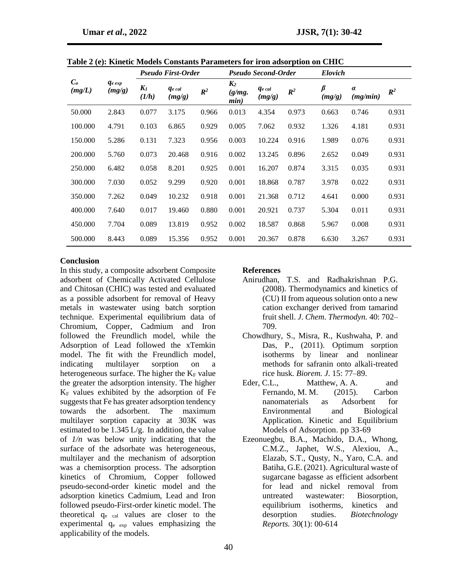|                           |                        | <b>Pseudo First-Order</b> |                          |                | <b>Pseudo Second-Order</b> |                         |                | <b>Elovich</b> |               |                |  |
|---------------------------|------------------------|---------------------------|--------------------------|----------------|----------------------------|-------------------------|----------------|----------------|---------------|----------------|--|
| $\mathcal{C}_o$<br>(mg/L) | $q_{e\ exp}$<br>(mg/g) | $K_I$<br>(1/h)            | <b>q</b> e cal<br>(mg/g) | $\mathbb{R}^2$ | $K_2$<br>(g/mg.<br>min)    | <b>Ge</b> cal<br>(mg/g) | $\mathbb{R}^2$ | β<br>(mg/g)    | а<br>(mg/min) | $\mathbb{R}^2$ |  |
| 50.000                    | 2.843                  | 0.077                     | 3.175                    | 0.966          | 0.013                      | 4.354                   | 0.973          | 0.663          | 0.746         | 0.931          |  |
| 100.000                   | 4.791                  | 0.103                     | 6.865                    | 0.929          | 0.005                      | 7.062                   | 0.932          | 1.326          | 4.181         | 0.931          |  |
| 150.000                   | 5.286                  | 0.131                     | 7.323                    | 0.956          | 0.003                      | 10.224                  | 0.916          | 1.989          | 0.076         | 0.931          |  |
| 200.000                   | 5.760                  | 0.073                     | 20.468                   | 0.916          | 0.002                      | 13.245                  | 0.896          | 2.652          | 0.049         | 0.931          |  |
| 250.000                   | 6.482                  | 0.058                     | 8.201                    | 0.925          | 0.001                      | 16.207                  | 0.874          | 3.315          | 0.035         | 0.931          |  |
| 300.000                   | 7.030                  | 0.052                     | 9.299                    | 0.920          | 0.001                      | 18.868                  | 0.787          | 3.978          | 0.022         | 0.931          |  |
| 350.000                   | 7.262                  | 0.049                     | 10.232                   | 0.918          | 0.001                      | 21.368                  | 0.712          | 4.641          | 0.000         | 0.931          |  |
| 400.000                   | 7.640                  | 0.017                     | 19.460                   | 0.880          | 0.001                      | 20.921                  | 0.737          | 5.304          | 0.011         | 0.931          |  |
| 450.000                   | 7.704                  | 0.089                     | 13.819                   | 0.952          | 0.002                      | 18.587                  | 0.868          | 5.967          | 0.008         | 0.931          |  |
| 500.000                   | 8.443                  | 0.089                     | 15.356                   | 0.952          | 0.001                      | 20.367                  | 0.878          | 6.630          | 3.267         | 0.931          |  |

**Table 2 (e): Kinetic Models Constants Parameters for iron adsorption on CHIC**

#### **Conclusion**

In this study, a composite adsorbent Composite adsorbent of Chemically Activated Cellulose and Chitosan (CHIC) was tested and evaluated as a possible adsorbent for removal of Heavy metals in wastewater using batch sorption technique. Experimental equilibrium data of Chromium, Copper, Cadmium and Iron followed the Freundlich model, while the Adsorption of Lead followed the xTemkin model. The fit with the Freundlich model, indicating multilayer sorption on a heterogeneous surface. The higher the  $K_F$  value the greater the adsorption intensity. The higher  $K_F$  values exhibited by the adsorption of Fe suggests that Fe has greater adsorption tendency towards the adsorbent. The maximum multilayer sorption capacity at 303K was estimated to be  $1.345 \text{ L/g}$ . In addition, the value of *1/n* was below unity indicating that the surface of the adsorbate was heterogeneous, multilayer and the mechanism of adsorption was a chemisorption process. The adsorption kinetics of Chromium, Copper followed pseudo-second-order kinetic model and the adsorption kinetics Cadmium, Lead and Iron followed pseudo-First-order kinetic model. The theoretical  $q_{e}$  cal values are closer to the experimental qe exp values emphasizing the applicability of the models.

### **References**

- Anirudhan, T.S. and Radhakrishnan P.G. (2008). Thermodynamics and kinetics of (CU) II from aqueous solution onto a new cation exchanger derived from tamarind fruit shell. *J. Chem. Thermodyn.* 40: 702– 709.
- Chowdhury, S., Misra, R., Kushwaha, P. and Das, P., (2011). Optimum sorption isotherms by linear and nonlinear methods for safranin onto alkali-treated rice husk. *Biorem. J*. 15: 77–89.
- Eder, C.L., Matthew, A. A. and Fernando, M. M. (2015). Carbon nanomaterials as Adsorbent for Environmental and Biological Application. Kinetic and Equilibrium Models of Adsorption. pp 33-69
- Ezeonuegbu, B.A., Machido, D.A., Whong, C.M.Z., Japhet, W.S., Alexiou, A., Elazab, S.T., Qusty, N., Yaro, C.A. and Batiha, G.E. (2021). Agricultural waste of sugarcane bagasse as efficient adsorbent for lead and nickel removal from untreated wastewater: Biosorption, equilibrium isotherms, kinetics and desorption studies. *[Biotechnology](https://www.sciencedirect.com/journal/biotechnology-reports)  [Reports](https://www.sciencedirect.com/journal/biotechnology-reports).* 30(1): 00-614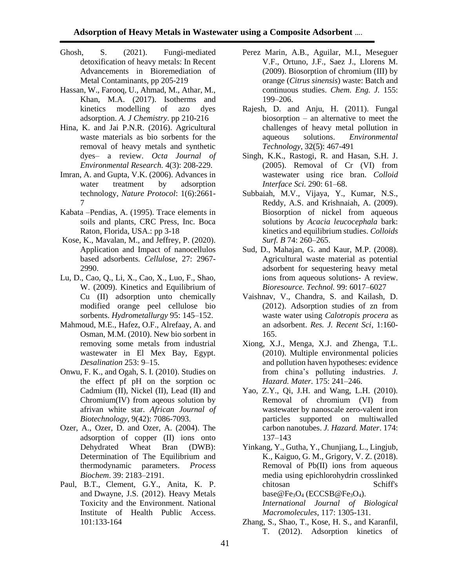- Ghosh, S. (2021). Fungi-mediated detoxification of heavy metals: In Recent Advancements in Bioremediation of Metal Contaminants, pp 205-219
- Hassan, W., Farooq, U., Ahmad, M., Athar, M., Khan, M.A. (2017). Isotherms and kinetics modelling of azo dyes adsorption. *A. J Chemistry*. pp 210-216
- Hina, K. and Jai P.N.R. (2016). Agricultural waste materials as bio sorbents for the removal of heavy metals and synthetic dyes– a review. *Octa Journal of Environmental Research.* 4(3): 208-229.
- Imran, A. and Gupta, V.K. (2006). Advances in water treatment by adsorption technology, *Nature Protocol*: 1(6):2661- 7
- Kabata –Pendias, A. (1995). Trace elements in soils and plants, CRC Press, Inc. Boca Raton, Florida, USA.: pp 3-18
- Kose, K., Mavalan, M., and Jeffrey, P. (2020). Application and Impact of nanocellulos based adsorbents. *Cellulose,* 27: 2967- 2990.
- Lu, D., Cao, Q., Li, X., Cao, X., Luo, F., Shao, W. (2009). Kinetics and Equilibrium of Cu (II) adsorption unto chemically modified orange peel cellulose bio sorbents. *Hydrometallurgy* 95: 145–152.
- Mahmoud, M.E., Hafez, O.F., Alrefaay, A. and Osman, M.M. (2010). New bio sorbent in removing some metals from industrial wastewater in El Mex Bay, Egypt. *Desalination* 253: 9–15.
- Onwu, F. K., and Ogah, S. I. (2010). Studies on the effect pf pH on the sorption oc Cadmium (II), Nickel (II), Lead (II) and Chromium(IV) from aqeous solution by afrivan white star. *African Journal of Biotechnology,* 9(42): 7086-7093.
- Ozer, A., Ozer, D. and Ozer, A. (2004). The adsorption of copper (II) ions onto Dehydrated Wheat Bran (DWB): Determination of The Equilibrium and thermodynamic parameters. *Process Biochem*. 39: 2183–2191.
- [Paul, B.T.,](https://www.ncbi.nlm.nih.gov/pubmed/?term=Tchounwou%20PB%5BAuthor%5D&cauthor=true&cauthor_uid=22945569) [Clement, G.Y.,](https://www.ncbi.nlm.nih.gov/pubmed/?term=Yedjou%20CG%5BAuthor%5D&cauthor=true&cauthor_uid=22945569) [Anita, K. P.](https://www.ncbi.nlm.nih.gov/pubmed/?term=Patlolla%20AK%5BAuthor%5D&cauthor=true&cauthor_uid=22945569) and [Dwayne, J.S.](https://www.ncbi.nlm.nih.gov/pubmed/?term=Sutton%20DJ%5BAuthor%5D&cauthor=true&cauthor_uid=22945569) (2012). Heavy Metals Toxicity and the Environment. National Institute of Health Public Access. 101:133-164
- Perez Marin, A.B., Aguilar, M.I., Meseguer V.F., Ortuno, J.F., Saez J., Llorens M. (2009). Biosorption of chromium (III) by orange (*Citrus sinensis*) waste: Batch and continuous studies. *Chem. Eng. J.* 155: 199–206.
- Rajesh, D. and Anju, H. (2011). Fungal biosorption – an alternative to meet the challenges of heavy metal pollution in aqueous solutions. *Environmental Technology*, 32(5): 467-491
- Singh, K.K., Rastogi, R. and Hasan, S.H. J. (2005). Removal of Cr (VI) from wastewater using rice bran. *Colloid Interface Sci.* 290: 61–68.
- Subbaiah, M.V., Vijaya, Y., Kumar, N.S., Reddy, A.S. and Krishnaiah, A. (2009). Biosorption of nickel from aqueous solutions by *Acacia leucocephala* bark: kinetics and equilibrium studies. *Colloids Surf. B* 74: 260–265.
- Sud, D., Mahajan, G. and Kaur, M.P. (2008). Agricultural waste material as potential adsorbent for sequestering heavy metal ions from aqueous solutions- A review. *Bioresource. Technol.* 99: 6017–6027
- Vaishnav, V., Chandra, S. and Kailash, D. (2012). Adsorption studies of zn from waste water using *Calotropis procera* as an adsorbent. *Res. J. Recent Sci*, 1:160- 165.
- Xiong, X.J., Menga, X.J. and Zhenga, T.L. (2010). Multiple environmental policies and pollution haven hypotheses: evidence from china's polluting industries. *J. Hazard. Mater.* 175: 241–246.
- Yao, Z.Y., Qi, J.H. and Wang, L.H. (2010). Removal of chromium (VI) from wastewater by nanoscale zero-valent iron particles supported on multiwalled carbon nanotubes. *J. Hazard. Mater*. 174: 137–143

Yinkang, Y., Gutha, Y., Chunjiang, L., Lingjub, K., Kaiguo, G. M., Grigory, V. Z. (2018). Removal of Pb(II) ions from aqueous media using epichlorohydrin crosslinked chitosan Schiff's base@Fe<sub>3</sub>O<sub>4</sub> (ECCSB@Fe<sub>3</sub>O<sub>4</sub>). *[International Journal of Biological](https://www.sciencedirect.com/journal/international-journal-of-biological-macromolecules)* 

*[Macromolecule](https://www.sciencedirect.com/journal/international-journal-of-biological-macromolecules)s*, [117:](https://www.sciencedirect.com/journal/international-journal-of-biological-macromolecules/vol/117/suppl/C) 1305-131. Zhang, S., Shao, T., Kose, H. S., and Karanfil,

T. (2012). Adsorption kinetics of